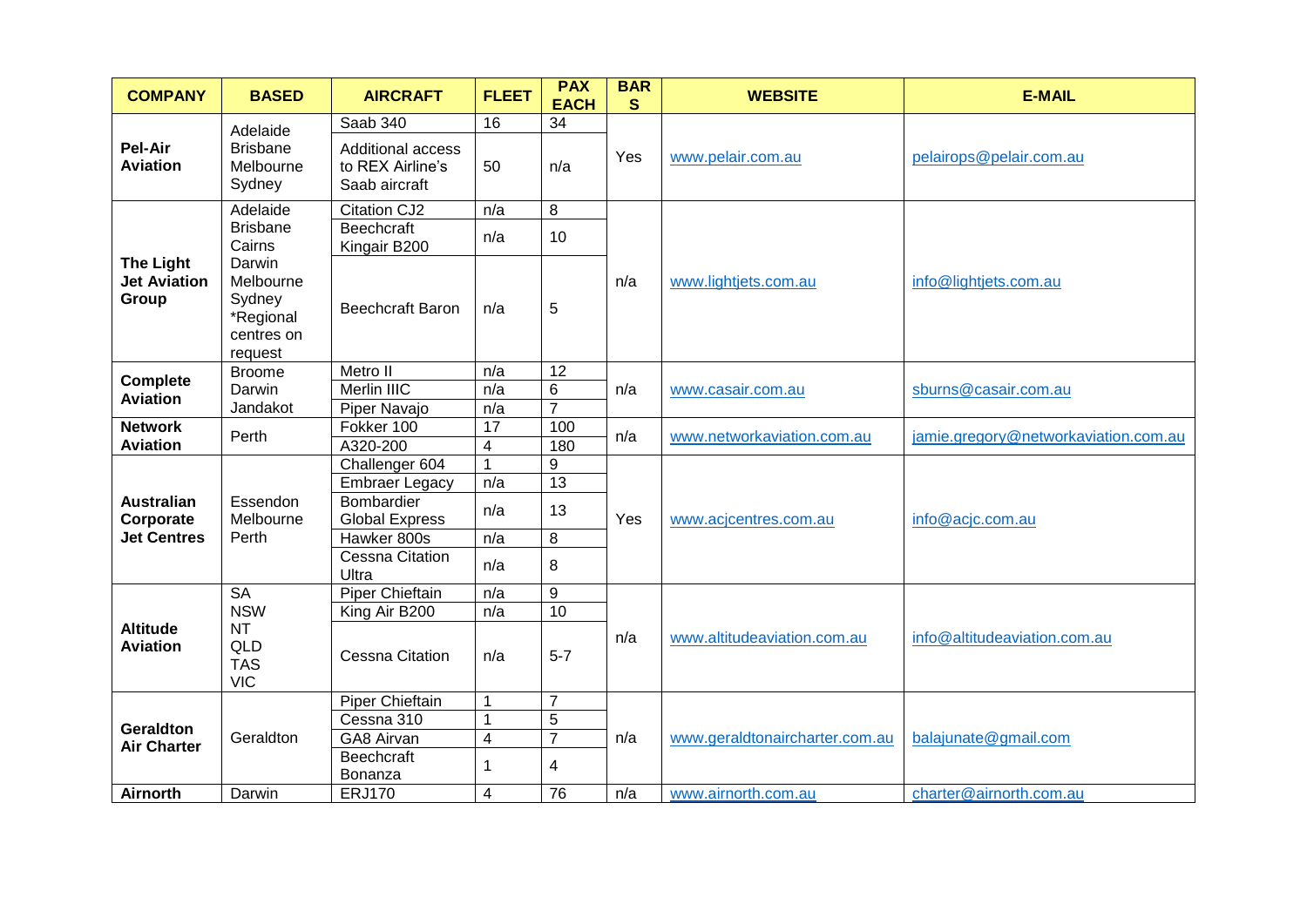| <b>COMPANY</b>                                   | <b>BASED</b>                                                                   | <b>AIRCRAFT</b>                                        | <b>FLEET</b>            | <b>PAX</b><br><b>EACH</b> | <b>BAR</b><br><sub>S</sub> | <b>WEBSITE</b>                 | <b>E-MAIL</b>                        |
|--------------------------------------------------|--------------------------------------------------------------------------------|--------------------------------------------------------|-------------------------|---------------------------|----------------------------|--------------------------------|--------------------------------------|
|                                                  | Adelaide                                                                       | Saab 340                                               | 16                      | $\overline{34}$           |                            |                                |                                      |
| Pel-Air<br><b>Aviation</b>                       | <b>Brisbane</b><br>Melbourne<br>Sydney                                         | Additional access<br>to REX Airline's<br>Saab aircraft | 50                      | n/a                       | Yes                        | www.pelair.com.au              | pelairops@pelair.com.au              |
|                                                  | Adelaide                                                                       | <b>Citation CJ2</b>                                    | n/a                     | 8                         |                            |                                |                                      |
|                                                  | <b>Brisbane</b><br>Cairns                                                      | <b>Beechcraft</b><br>Kingair B200                      | n/a                     | 10                        |                            |                                |                                      |
| <b>The Light</b><br><b>Jet Aviation</b><br>Group | Darwin<br>Melbourne<br>Sydney<br>*Regional<br>centres on<br>request            | <b>Beechcraft Baron</b>                                | n/a                     | 5                         | n/a                        | www.lightjets.com.au           | info@lightjets.com.au                |
| <b>Complete</b>                                  | <b>Broome</b>                                                                  | Metro II                                               | n/a                     | 12                        | n/a                        | www.casair.com.au              | sburns@casair.com.au                 |
| <b>Aviation</b>                                  | Darwin<br>Jandakot                                                             | Merlin IIIC                                            | n/a                     | 6                         |                            |                                |                                      |
|                                                  |                                                                                | Piper Navajo                                           | n/a                     | $\overline{7}$            |                            |                                |                                      |
| <b>Network</b><br><b>Aviation</b>                | Perth                                                                          | Fokker 100                                             | 17                      | 100                       | n/a                        | www.networkaviation.com.au     | jamie.gregory@networkaviation.com.au |
|                                                  |                                                                                | A320-200                                               | $\overline{\mathbf{4}}$ | 180                       |                            |                                |                                      |
| <b>Australian</b><br>Corporate                   | Essendon<br>Melbourne<br>Perth                                                 | Challenger 604                                         |                         | 9                         | Yes                        | www.acjcentres.com.au          | info@acjc.com.au                     |
|                                                  |                                                                                | <b>Embraer Legacy</b>                                  | n/a                     | $\overline{13}$           |                            |                                |                                      |
|                                                  |                                                                                | Bombardier<br><b>Global Express</b>                    | n/a                     | 13                        |                            |                                |                                      |
| <b>Jet Centres</b>                               |                                                                                | Hawker 800s                                            | n/a                     | 8                         |                            |                                |                                      |
|                                                  |                                                                                | <b>Cessna Citation</b><br>Ultra                        | n/a                     | 8                         |                            |                                |                                      |
|                                                  | <b>SA</b><br><b>NSW</b><br><b>NT</b><br><b>QLD</b><br><b>TAS</b><br><b>VIC</b> | <b>Piper Chieftain</b>                                 | n/a                     | $\boldsymbol{9}$          | n/a                        | www.altitudeaviation.com.au    | info@altitudeaviation.com.au         |
|                                                  |                                                                                | King Air B200                                          | n/a                     | 10                        |                            |                                |                                      |
| <b>Altitude</b><br><b>Aviation</b>               |                                                                                | <b>Cessna Citation</b>                                 | n/a                     | $5 - 7$                   |                            |                                |                                      |
|                                                  | Geraldton                                                                      | Piper Chieftain                                        | 1                       | $\overline{7}$            | n/a                        | www.geraldtonaircharter.com.au | balajunate@gmail.com                 |
| <b>Geraldton</b>                                 |                                                                                | Cessna 310                                             | $\mathbf 1$             | 5                         |                            |                                |                                      |
| <b>Air Charter</b>                               |                                                                                | GA8 Airvan                                             | 4                       | $\overline{7}$            |                            |                                |                                      |
|                                                  |                                                                                | <b>Beechcraft</b><br>Bonanza                           | 1                       | 4                         |                            |                                |                                      |
| <b>Airnorth</b>                                  | Darwin                                                                         | <b>ERJ170</b>                                          | 4                       | 76                        | n/a                        | www.airnorth.com.au            | charter@airnorth.com.au              |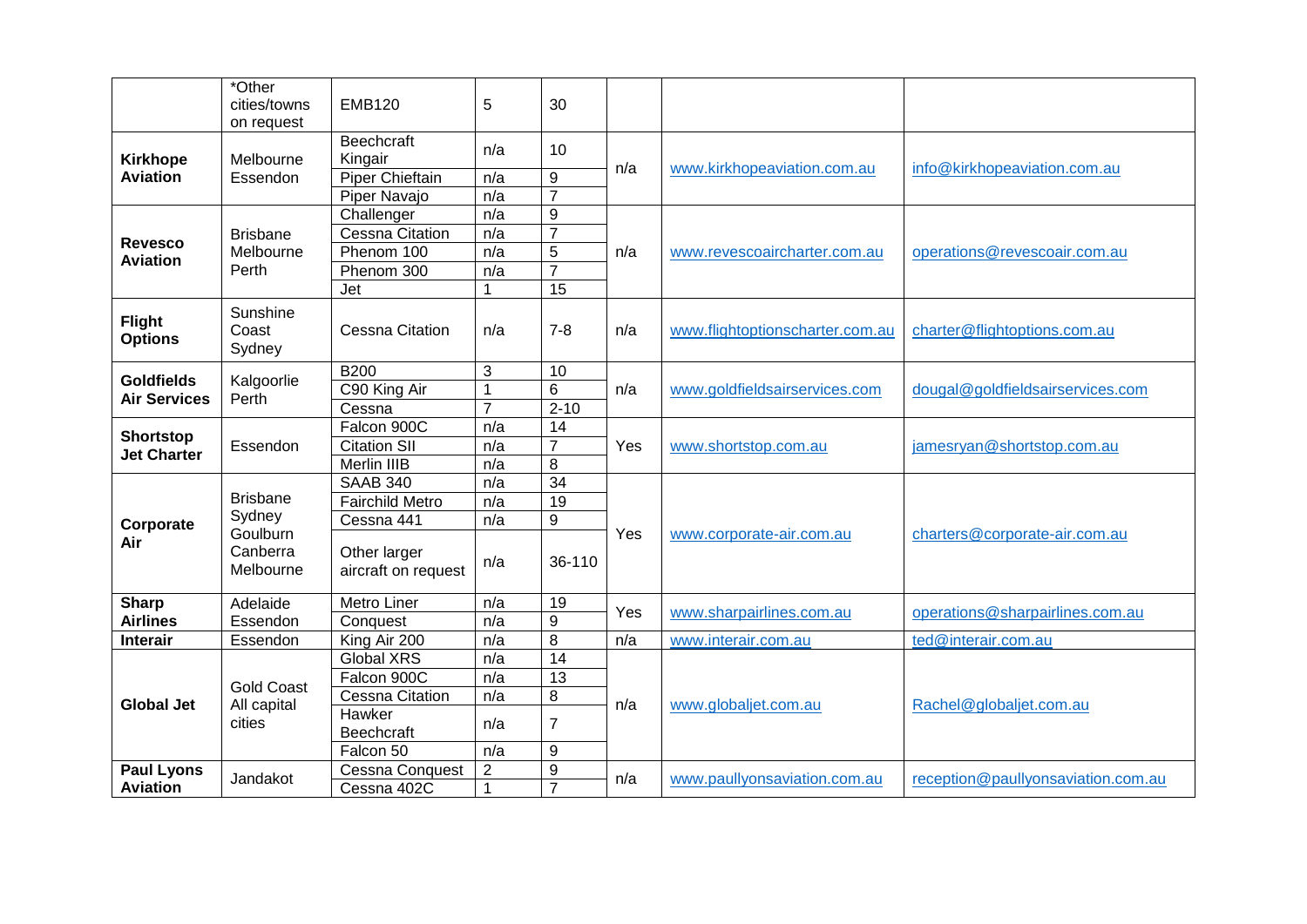|                                 | *Other<br>cities/towns                                         | <b>EMB120</b>                       | 5              | 30               |     |                                 |                                    |
|---------------------------------|----------------------------------------------------------------|-------------------------------------|----------------|------------------|-----|---------------------------------|------------------------------------|
|                                 | on request                                                     |                                     |                |                  |     |                                 |                                    |
| <b>Kirkhope</b>                 | Melbourne<br>Essendon                                          | <b>Beechcraft</b><br>Kingair        | n/a            | 10               | n/a | www.kirkhopeaviation.com.au     | info@kirkhopeaviation.com.au       |
| <b>Aviation</b>                 |                                                                | <b>Piper Chieftain</b>              | n/a            | 9                |     |                                 |                                    |
|                                 |                                                                | Piper Navajo                        | n/a            | $\overline{7}$   |     |                                 |                                    |
|                                 | <b>Brisbane</b>                                                | Challenger                          | n/a            | $\boldsymbol{9}$ | n/a |                                 | operations@revescoair.com.au       |
| <b>Revesco</b>                  |                                                                | <b>Cessna Citation</b>              | n/a            | $\overline{7}$   |     |                                 |                                    |
| <b>Aviation</b>                 | Melbourne                                                      | Phenom 100                          | n/a            | 5                |     | www.revescoaircharter.com.au    |                                    |
|                                 | Perth                                                          | Phenom 300                          | n/a            | $\overline{7}$   |     |                                 |                                    |
|                                 |                                                                | Jet                                 |                | 15               |     |                                 |                                    |
| <b>Flight</b><br><b>Options</b> | Sunshine<br>Coast<br>Sydney                                    | <b>Cessna Citation</b>              | n/a            | $7 - 8$          | n/a | www.flightoptionscharter.com.au | charter@flightoptions.com.au       |
| <b>Goldfields</b>               |                                                                | <b>B200</b>                         | 3              | 10               |     | www.goldfieldsairservices.com   | dougal@goldfieldsairservices.com   |
| <b>Air Services</b>             | Kalgoorlie<br>Perth                                            | C90 King Air                        |                | 6                | n/a |                                 |                                    |
|                                 |                                                                | Cessna                              | $\overline{7}$ | $2 - 10$         |     |                                 |                                    |
| Shortstop<br><b>Jet Charter</b> | Essendon                                                       | Falcon 900C                         | n/a            | 14               | Yes | www.shortstop.com.au            | jamesryan@shortstop.com.au         |
|                                 |                                                                | <b>Citation SII</b>                 | n/a            | $\overline{7}$   |     |                                 |                                    |
|                                 |                                                                | Merlin IIIB                         | n/a            | 8                |     |                                 |                                    |
|                                 | <b>Brisbane</b><br>Sydney<br>Goulburn<br>Canberra<br>Melbourne | <b>SAAB 340</b>                     | n/a            | $\overline{34}$  | Yes | www.corporate-air.com.au        |                                    |
|                                 |                                                                | <b>Fairchild Metro</b>              | n/a            | 19               |     |                                 | charters@corporate-air.com.au      |
| Corporate                       |                                                                | Cessna 441                          | n/a            | 9                |     |                                 |                                    |
| Air                             |                                                                | Other larger<br>aircraft on request | n/a            | 36-110           |     |                                 |                                    |
| <b>Sharp</b>                    | Adelaide                                                       | Metro Liner                         | n/a            | 19               | Yes | www.sharpairlines.com.au        | operations@sharpairlines.com.au    |
| <b>Airlines</b>                 | Essendon                                                       | Conquest                            | n/a            | $\boldsymbol{9}$ |     |                                 |                                    |
| Interair                        | Essendon                                                       | King Air 200                        | n/a            | 8                | n/a | www.interair.com.au             | ted@interair.com.au                |
| <b>Global Jet</b>               |                                                                | <b>Global XRS</b>                   | n/a            | $\overline{14}$  |     | www.globaljet.com.au            | Rachel@globaljet.com.au            |
|                                 | <b>Gold Coast</b>                                              | Falcon 900C                         | n/a            | 13               | n/a |                                 |                                    |
|                                 | All capital<br>cities                                          | <b>Cessna Citation</b>              | n/a            | 8                |     |                                 |                                    |
|                                 |                                                                | Hawker<br>Beechcraft                | n/a            | $\overline{7}$   |     |                                 |                                    |
|                                 |                                                                | Falcon 50                           | n/a            | 9                |     |                                 |                                    |
| <b>Paul Lyons</b>               | Jandakot                                                       | Cessna Conquest                     | $\overline{2}$ | 9                | n/a | www.paullyonsaviation.com.au    | reception@paullyonsaviation.com.au |
| <b>Aviation</b>                 |                                                                | Cessna 402C                         | $\mathbf 1$    | $\overline{7}$   |     |                                 |                                    |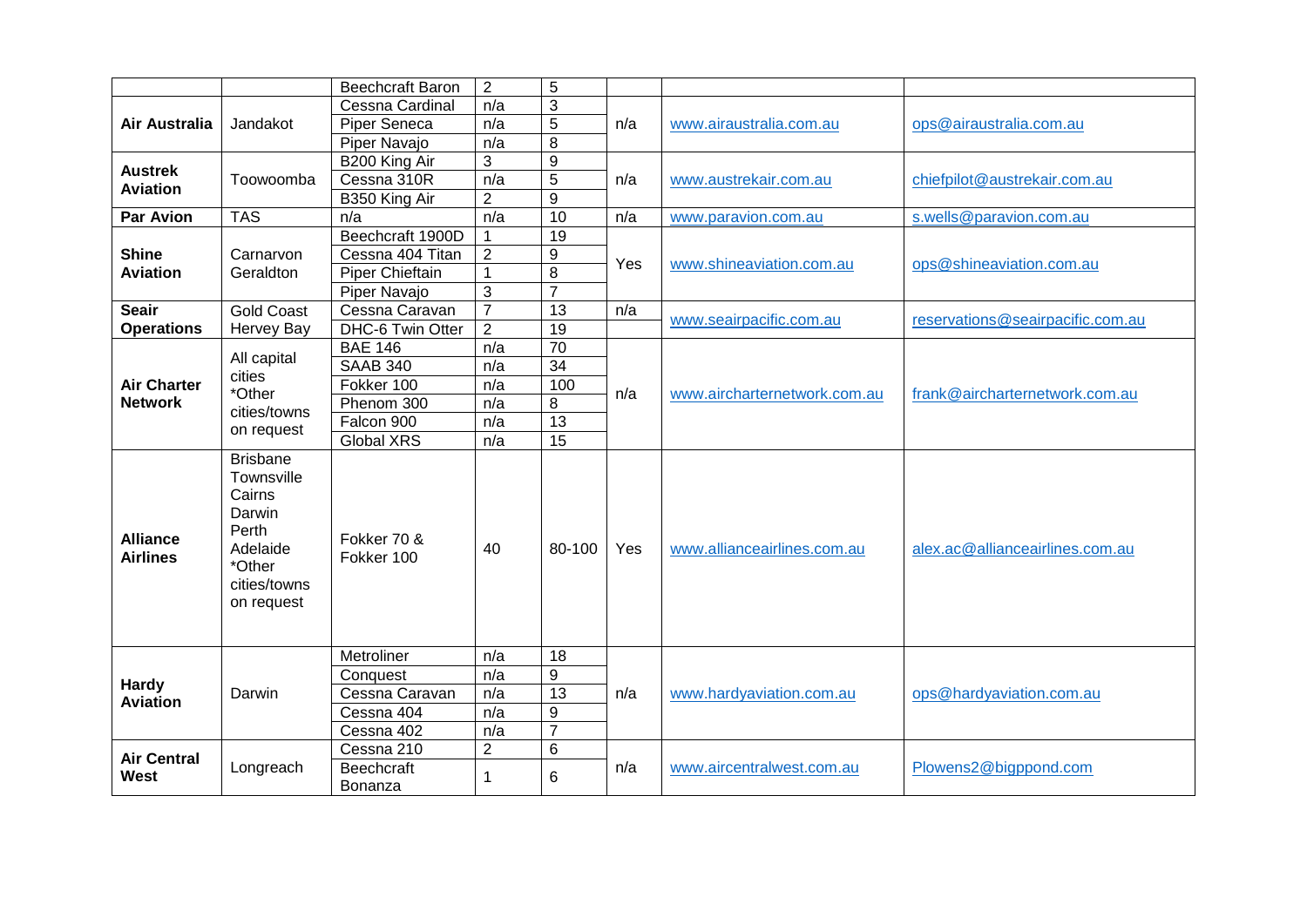|                                    |                                                                                                                | <b>Beechcraft Baron</b>      | $\overline{2}$ | 5                |     |                              |                                  |
|------------------------------------|----------------------------------------------------------------------------------------------------------------|------------------------------|----------------|------------------|-----|------------------------------|----------------------------------|
| Air Australia                      | Jandakot                                                                                                       | Cessna Cardinal              | n/a            | 3                | n/a |                              | ops@airaustralia.com.au          |
|                                    |                                                                                                                | Piper Seneca                 | n/a            | 5                |     | www.airaustralia.com.au      |                                  |
|                                    |                                                                                                                | Piper Navajo                 | n/a            | 8                |     |                              |                                  |
| <b>Austrek</b>                     |                                                                                                                | B200 King Air                | 3              | $\overline{9}$   |     |                              |                                  |
| <b>Aviation</b>                    | Toowoomba                                                                                                      | Cessna 310R                  | n/a            | 5                | n/a | www.austrekair.com.au        | chiefpilot@austrekair.com.au     |
|                                    |                                                                                                                | B350 King Air                | $\overline{2}$ | 9                |     |                              |                                  |
| <b>Par Avion</b>                   | <b>TAS</b>                                                                                                     | n/a                          | n/a            | 10               | n/a | www.paravion.com.au          | s.wells@paravion.com.au          |
|                                    |                                                                                                                | Beechcraft 1900D             |                | 19               |     |                              |                                  |
| <b>Shine</b>                       | Carnarvon                                                                                                      | Cessna 404 Titan             | $\overline{2}$ | $\boldsymbol{9}$ | Yes | www.shineaviation.com.au     | ops@shineaviation.com.au         |
| <b>Aviation</b>                    | Geraldton                                                                                                      | Piper Chieftain              | $\mathbf{1}$   | 8                |     |                              |                                  |
|                                    |                                                                                                                | Piper Navajo                 | $\mathfrak{S}$ | $\overline{7}$   |     |                              |                                  |
| <b>Seair</b>                       | <b>Gold Coast</b>                                                                                              | Cessna Caravan               | $\overline{7}$ | 13               | n/a | www.seairpacific.com.au      | reservations@seairpacific.com.au |
| <b>Operations</b>                  | <b>Hervey Bay</b>                                                                                              | DHC-6 Twin Otter             | $\overline{2}$ | 19               |     |                              |                                  |
|                                    |                                                                                                                | <b>BAE 146</b>               | n/a            | $\overline{70}$  |     |                              | frank@aircharternetwork.com.au   |
|                                    | All capital                                                                                                    | <b>SAAB 340</b>              | n/a            | $\overline{34}$  |     |                              |                                  |
| <b>Air Charter</b>                 | cities<br>*Other                                                                                               | Fokker 100                   | n/a            | 100              | n/a | www.aircharternetwork.com.au |                                  |
| <b>Network</b>                     | cities/towns<br>on request                                                                                     | Phenom 300                   | n/a            | 8                |     |                              |                                  |
|                                    |                                                                                                                | Falcon 900                   | n/a            | $\overline{13}$  |     |                              |                                  |
|                                    |                                                                                                                | Global XRS                   | n/a            | $\overline{15}$  |     |                              |                                  |
| <b>Alliance</b><br><b>Airlines</b> | <b>Brisbane</b><br>Townsville<br>Cairns<br>Darwin<br>Perth<br>Adelaide<br>*Other<br>cities/towns<br>on request | Fokker 70 &<br>Fokker 100    | 40             | 80-100           | Yes | www.allianceairlines.com.au  | alex.ac@allianceairlines.com.au  |
|                                    |                                                                                                                | Metroliner                   | n/a            | 18               |     | www.hardyaviation.com.au     | ops@hardyaviation.com.au         |
| <b>Hardy</b><br><b>Aviation</b>    | Darwin                                                                                                         | Conquest                     | n/a            | 9                | n/a |                              |                                  |
|                                    |                                                                                                                | Cessna Caravan               | n/a            | 13               |     |                              |                                  |
|                                    |                                                                                                                | Cessna 404                   | n/a            | $\boldsymbol{9}$ |     |                              |                                  |
|                                    |                                                                                                                | Cessna 402                   | n/a            | $\overline{7}$   |     |                              |                                  |
| <b>Air Central</b>                 |                                                                                                                | Cessna 210                   | $\overline{2}$ | $6\phantom{1}6$  |     | www.aircentralwest.com.au    | Plowens2@bigppond.com            |
| West                               | Longreach                                                                                                      | <b>Beechcraft</b><br>Bonanza |                | 6                | n/a |                              |                                  |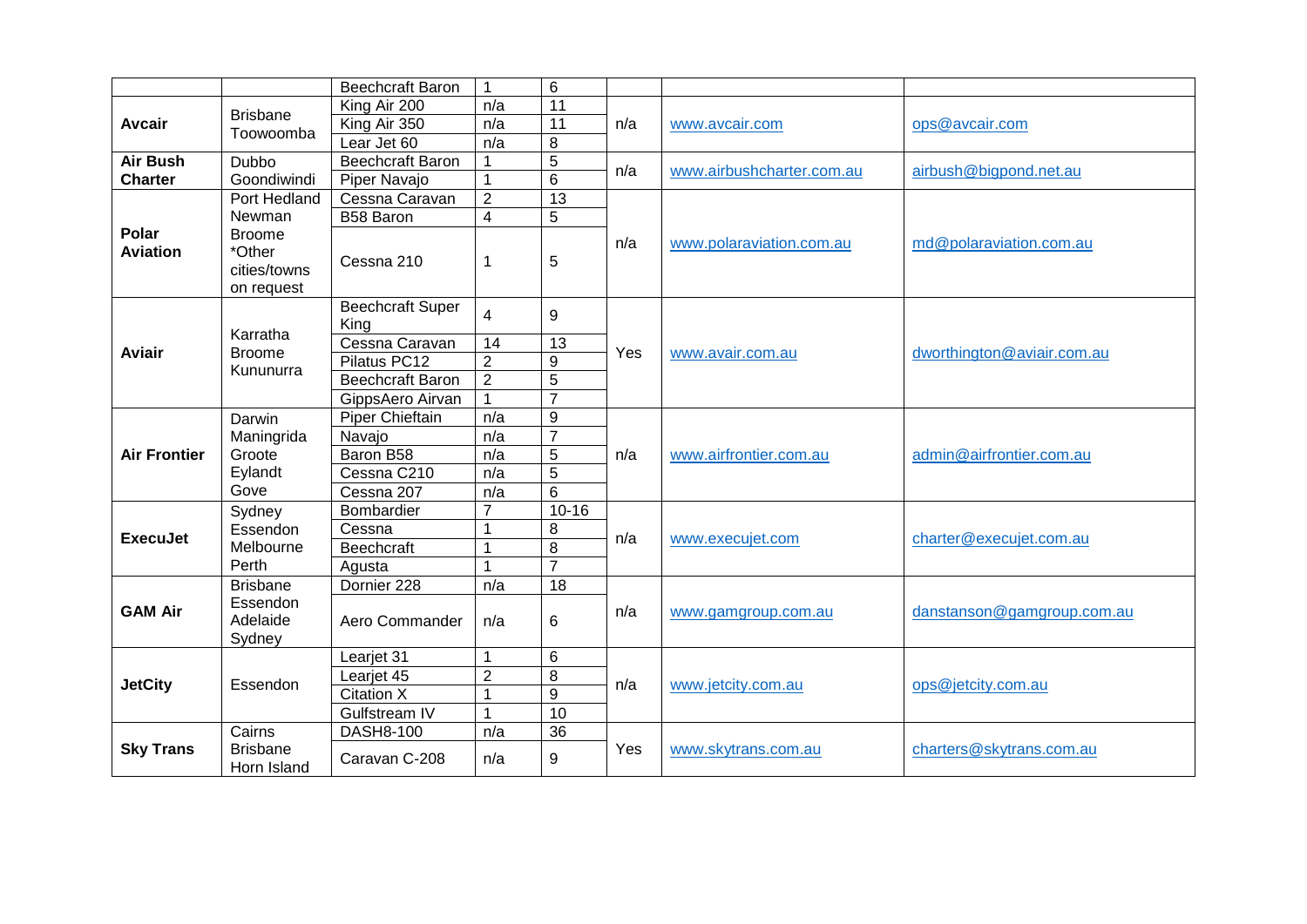|                          |                                                                 | Beechcraft Baron                | 1                       | 6               |     |                           |                            |
|--------------------------|-----------------------------------------------------------------|---------------------------------|-------------------------|-----------------|-----|---------------------------|----------------------------|
| <b>Avcair</b>            | <b>Brisbane</b><br>Toowoomba                                    | King Air 200                    | n/a                     | 11              | n/a |                           | ops@avcair.com             |
|                          |                                                                 | King Air 350                    | n/a                     | 11              |     | www.avcair.com            |                            |
|                          |                                                                 | Lear Jet 60                     | n/a                     | 8               |     |                           |                            |
| <b>Air Bush</b>          | <b>Dubbo</b>                                                    | <b>Beechcraft Baron</b>         |                         | 5               |     |                           |                            |
| <b>Charter</b>           | Goondiwindi                                                     | Piper Navajo                    | $\mathbf 1$             | 6               | n/a | www.airbushcharter.com.au | airbush@bigpond.net.au     |
|                          | Port Hedland                                                    | Cessna Caravan                  | $\overline{2}$          | $\overline{13}$ | n/a |                           | md@polaraviation.com.au    |
|                          | Newman<br><b>Broome</b><br>*Other<br>cities/towns<br>on request | B58 Baron                       | $\overline{\mathbf{4}}$ | 5               |     |                           |                            |
| Polar<br><b>Aviation</b> |                                                                 | Cessna 210                      | 1                       | 5               |     | www.polaraviation.com.au  |                            |
|                          | Karratha                                                        | <b>Beechcraft Super</b><br>King | $\overline{\mathbf{4}}$ | 9               | Yes | www.avair.com.au          | dworthington@aviair.com.au |
| <b>Aviair</b>            | <b>Broome</b>                                                   | Cessna Caravan                  | 14                      | 13              |     |                           |                            |
|                          | Kununurra                                                       | Pilatus PC12                    | $\overline{2}$          | 9               |     |                           |                            |
|                          |                                                                 | Beechcraft Baron                | $\overline{2}$          | 5               |     |                           |                            |
|                          |                                                                 | GippsAero Airvan                | 1                       | $\overline{7}$  |     |                           |                            |
| <b>Air Frontier</b>      | Darwin                                                          | <b>Piper Chieftain</b>          | n/a                     | 9               | n/a | www.airfrontier.com.au    | admin@airfrontier.com.au   |
|                          | Maningrida                                                      | Navajo                          | n/a                     | $\overline{7}$  |     |                           |                            |
|                          | Groote                                                          | Baron B58                       | n/a                     | 5               |     |                           |                            |
|                          | Eylandt                                                         | Cessna C210                     | n/a                     | 5               |     |                           |                            |
|                          | Gove                                                            | Cessna 207                      | n/a                     | $\overline{6}$  |     |                           |                            |
|                          | Sydney                                                          | Bombardier                      | $\overline{7}$          | $10 - 16$       | n/a | www.execujet.com          | charter@execujet.com.au    |
| <b>ExecuJet</b>          | Essendon<br>Melbourne<br>Perth                                  | Cessna                          |                         | 8               |     |                           |                            |
|                          |                                                                 | <b>Beechcraft</b>               | 1                       | $\overline{8}$  |     |                           |                            |
|                          |                                                                 | Agusta                          |                         | $\overline{7}$  |     |                           |                            |
|                          | <b>Brisbane</b>                                                 | Dornier 228                     | n/a                     | 18              |     | www.gamgroup.com.au       | danstanson@gamgroup.com.au |
| <b>GAM Air</b>           | Essendon<br>Adelaide<br>Sydney                                  | Aero Commander                  | n/a                     | 6               | n/a |                           |                            |
|                          |                                                                 | Learjet 31                      | 1                       | 6               | n/a | www.jetcity.com.au        | ops@jetcity.com.au         |
| <b>JetCity</b>           | Essendon                                                        | Learjet 45                      | $\overline{2}$          | 8               |     |                           |                            |
|                          |                                                                 | <b>Citation X</b>               | 1                       | $\overline{9}$  |     |                           |                            |
|                          |                                                                 | Gulfstream IV                   | 1                       | $\overline{10}$ |     |                           |                            |
|                          | Cairns                                                          | <b>DASH8-100</b>                | n/a                     | 36              |     |                           | charters@skytrans.com.au   |
| <b>Sky Trans</b>         | <b>Brisbane</b><br>Horn Island                                  | Caravan C-208                   | n/a                     | 9               | Yes | www.skytrans.com.au       |                            |